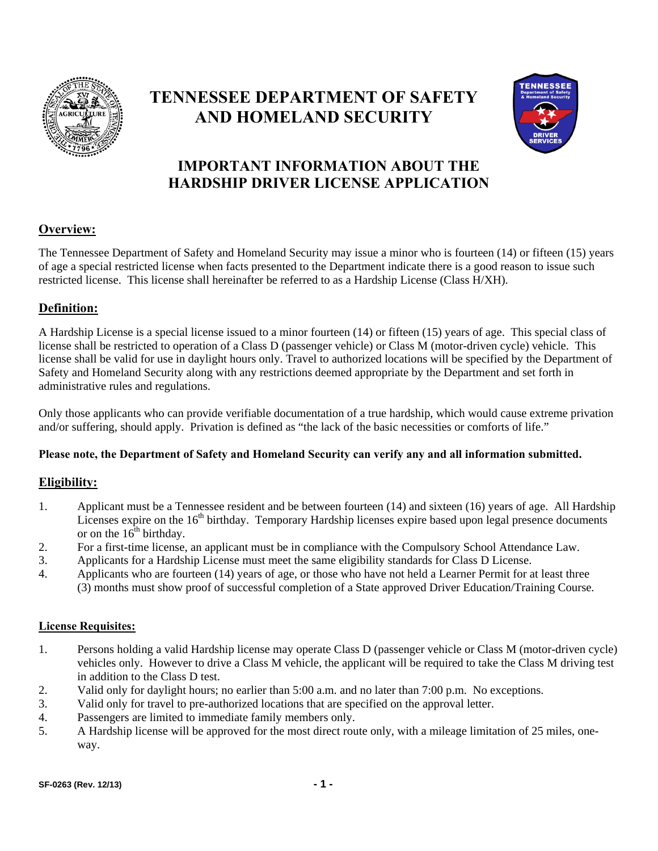

# **TENNESSEE DEPARTMENT OF SAFETY AND HOMELAND SECURITY**



# **IMPORTANT INFORMATION ABOUT THE HARDSHIP DRIVER LICENSE APPLICATION**

# **Overview:**

The Tennessee Department of Safety and Homeland Security may issue a minor who is fourteen (14) or fifteen (15) years of age a special restricted license when facts presented to the Department indicate there is a good reason to issue such restricted license. This license shall hereinafter be referred to as a Hardship License (Class H/XH).

# **Definition:**

A Hardship License is a special license issued to a minor fourteen (14) or fifteen (15) years of age. This special class of license shall be restricted to operation of a Class D (passenger vehicle) or Class M (motor-driven cycle) vehicle. This license shall be valid for use in daylight hours only. Travel to authorized locations will be specified by the Department of Safety and Homeland Security along with any restrictions deemed appropriate by the Department and set forth in administrative rules and regulations.

Only those applicants who can provide verifiable documentation of a true hardship, which would cause extreme privation and/or suffering, should apply. Privation is defined as "the lack of the basic necessities or comforts of life."

# **Please note, the Department of Safety and Homeland Security can verify any and all information submitted.**

# **Eligibility:**

- 1. Applicant must be a Tennessee resident and be between fourteen (14) and sixteen (16) years of age. All Hardship Licenses expire on the  $16<sup>th</sup>$  birthday. Temporary Hardship licenses expire based upon legal presence documents or on the  $16^{\text{th}}$  birthday.
- 2. For a first-time license, an applicant must be in compliance with the Compulsory School Attendance Law.
- 3. Applicants for a Hardship License must meet the same eligibility standards for Class D License.
- 4. Applicants who are fourteen (14) years of age, or those who have not held a Learner Permit for at least three (3) months must show proof of successful completion of a State approved Driver Education/Training Course.

# **License Requisites:**

- 1. Persons holding a valid Hardship license may operate Class D (passenger vehicle or Class M (motor-driven cycle) vehicles only. However to drive a Class M vehicle, the applicant will be required to take the Class M driving test in addition to the Class D test.
- 2. Valid only for daylight hours; no earlier than 5:00 a.m. and no later than 7:00 p.m. No exceptions.
- 3. Valid only for travel to pre-authorized locations that are specified on the approval letter.
- 4. Passengers are limited to immediate family members only.
- 5. A Hardship license will be approved for the most direct route only, with a mileage limitation of 25 miles, oneway.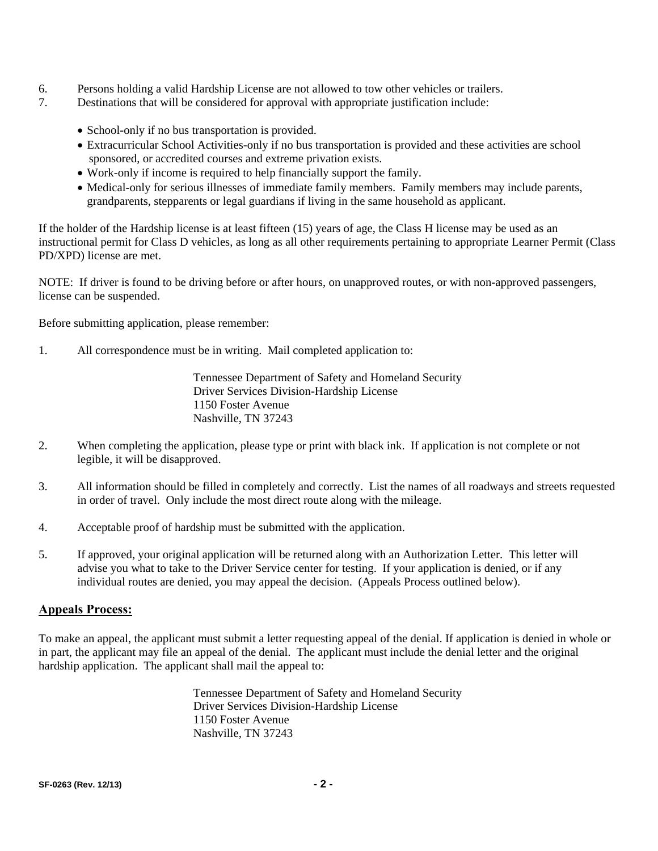- 6. Persons holding a valid Hardship License are not allowed to tow other vehicles or trailers.
- 7. Destinations that will be considered for approval with appropriate justification include:
	- School-only if no bus transportation is provided.
	- Extracurricular School Activities-only if no bus transportation is provided and these activities are school sponsored, or accredited courses and extreme privation exists.
	- Work-only if income is required to help financially support the family.
	- Medical-only for serious illnesses of immediate family members. Family members may include parents, grandparents, stepparents or legal guardians if living in the same household as applicant.

If the holder of the Hardship license is at least fifteen (15) years of age, the Class H license may be used as an instructional permit for Class D vehicles, as long as all other requirements pertaining to appropriate Learner Permit (Class PD/XPD) license are met.

NOTE: If driver is found to be driving before or after hours, on unapproved routes, or with non-approved passengers, license can be suspended.

Before submitting application, please remember:

1. All correspondence must be in writing. Mail completed application to:

 Tennessee Department of Safety and Homeland Security Driver Services Division-Hardship License 1150 Foster Avenue Nashville, TN 37243

- 2. When completing the application, please type or print with black ink. If application is not complete or not legible, it will be disapproved.
- 3. All information should be filled in completely and correctly. List the names of all roadways and streets requested in order of travel. Only include the most direct route along with the mileage.
- 4. Acceptable proof of hardship must be submitted with the application.
- 5. If approved, your original application will be returned along with an Authorization Letter. This letter will advise you what to take to the Driver Service center for testing. If your application is denied, or if any individual routes are denied, you may appeal the decision. (Appeals Process outlined below).

### **Appeals Process:**

To make an appeal, the applicant must submit a letter requesting appeal of the denial. If application is denied in whole or in part, the applicant may file an appeal of the denial. The applicant must include the denial letter and the original hardship application. The applicant shall mail the appeal to:

> Tennessee Department of Safety and Homeland Security Driver Services Division-Hardship License 1150 Foster Avenue Nashville, TN 37243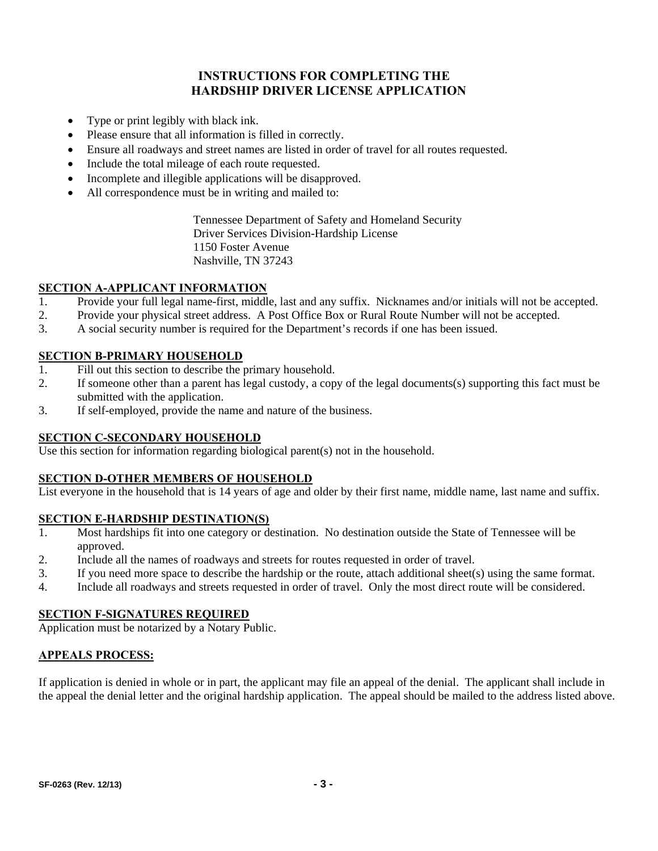# **INSTRUCTIONS FOR COMPLETING THE HARDSHIP DRIVER LICENSE APPLICATION**

- Type or print legibly with black ink.
- Please ensure that all information is filled in correctly.
- Ensure all roadways and street names are listed in order of travel for all routes requested.
- Include the total mileage of each route requested.
- Incomplete and illegible applications will be disapproved.
- All correspondence must be in writing and mailed to:

 Tennessee Department of Safety and Homeland Security Driver Services Division-Hardship License 1150 Foster Avenue Nashville, TN 37243

# **SECTION A-APPLICANT INFORMATION**<br>1. Provide your full legal name-first, middle

- Provide your full legal name-first, middle, last and any suffix. Nicknames and/or initials will not be accepted.
- 2. Provide your physical street address. A Post Office Box or Rural Route Number will not be accepted.
- 3. A social security number is required for the Department's records if one has been issued.

# **SECTION B-PRIMARY HOUSEHOLD**

- 1. Fill out this section to describe the primary household.
- 2. If someone other than a parent has legal custody, a copy of the legal documents(s) supporting this fact must be submitted with the application.
- 3. If self-employed, provide the name and nature of the business.

# **SECTION C-SECONDARY HOUSEHOLD**

Use this section for information regarding biological parent(s) not in the household.

# **SECTION D-OTHER MEMBERS OF HOUSEHOLD**

List everyone in the household that is 14 years of age and older by their first name, middle name, last name and suffix.

# **SECTION E-HARDSHIP DESTINATION(S)**

- 1. Most hardships fit into one category or destination. No destination outside the State of Tennessee will be approved.
- 2. Include all the names of roadways and streets for routes requested in order of travel.
- 3. If you need more space to describe the hardship or the route, attach additional sheet(s) using the same format.
- 4. Include all roadways and streets requested in order of travel. Only the most direct route will be considered.

# **SECTION F-SIGNATURES REQUIRED**

Application must be notarized by a Notary Public.

# **APPEALS PROCESS:**

If application is denied in whole or in part, the applicant may file an appeal of the denial. The applicant shall include in the appeal the denial letter and the original hardship application. The appeal should be mailed to the address listed above.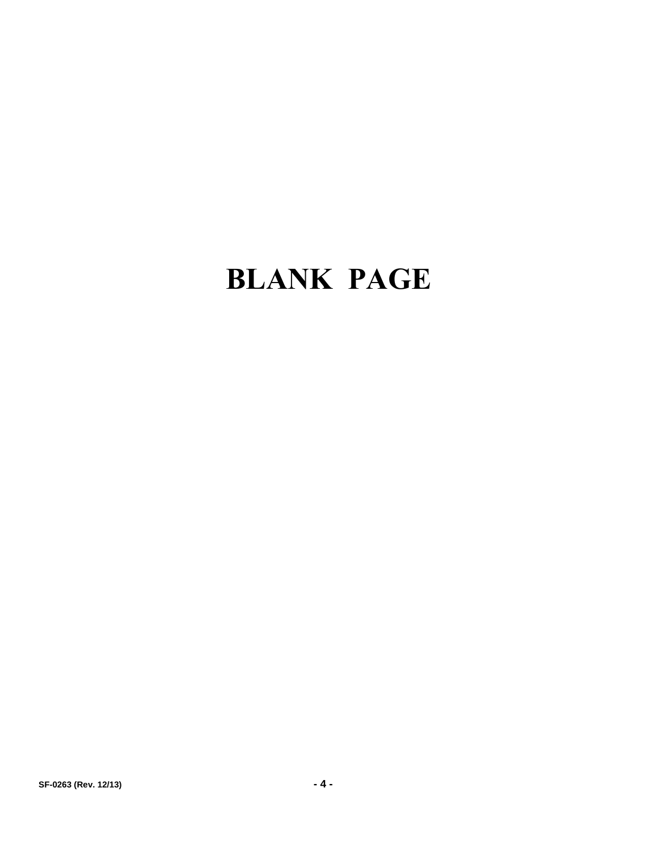# **BLANK PAGE**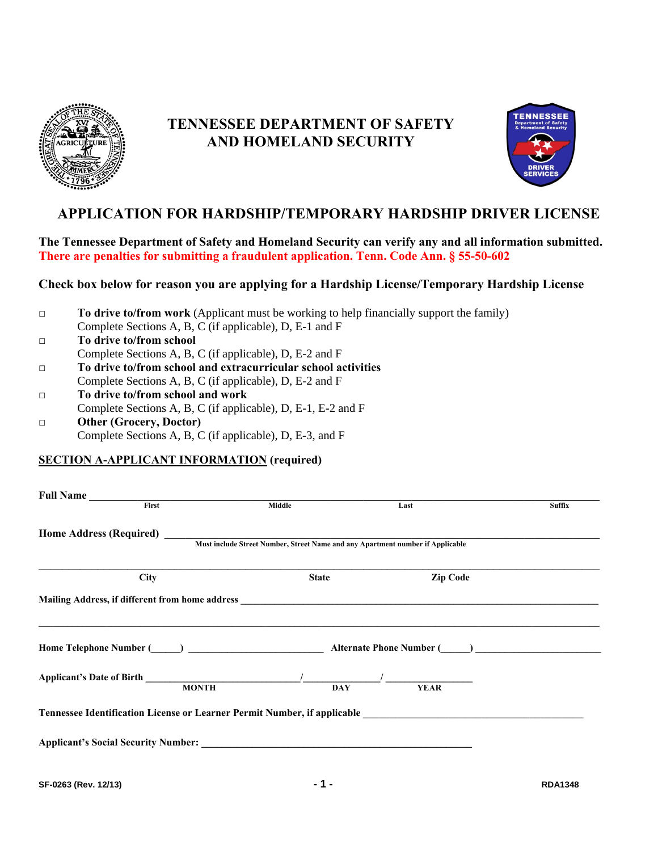

# **TENNESSEE DEPARTMENT OF SAFETY AND HOMELAND SECURITY**



# **APPLICATION FOR HARDSHIP/TEMPORARY HARDSHIP DRIVER LICENSE**

**The Tennessee Department of Safety and Homeland Security can verify any and all information submitted. There are penalties for submitting a fraudulent application. Tenn. Code Ann. § 55-50-602** 

# **Check box below for reason you are applying for a Hardship License/Temporary Hardship License**

| To drive to/from work (Applicant must be working to help financially support the family) |
|------------------------------------------------------------------------------------------|
| Complete Sections A, B, C (if applicable), D, E-1 and F                                  |

- **□ To drive to/from school** Complete Sections A, B, C (if applicable), D, E-2 and F **□ To drive to/from school and extracurricular school activities**
- Complete Sections A, B, C (if applicable), D, E-2 and F
- **□ To drive to/from school and work** Complete Sections A, B, C (if applicable), D, E-1, E-2 and F **□ Other (Grocery, Doctor)**
	- Complete Sections A, B, C (if applicable), D, E-3, and F

# **SECTION A-APPLICANT INFORMATION (required)**

| Full Name First                                                                                                  |               |                          |               |
|------------------------------------------------------------------------------------------------------------------|---------------|--------------------------|---------------|
|                                                                                                                  | Middle        | Last                     | <b>Suffix</b> |
| Home Address (Required) Must include Street Number, Street Name and any Apartment number if Applicable           |               |                          |               |
| <b>City</b>                                                                                                      | <b>State</b>  | <b>Zip Code</b>          |               |
|                                                                                                                  |               |                          |               |
|                                                                                                                  |               |                          |               |
| Home Telephone Number (Call Theorem 2014) and 2016 and 2016 and 2017 and 2018 and 2018 and 2018 and 2018 and 201 |               |                          |               |
| Applicant's Date of Birth MONTH                                                                                  | $\frac{1}{2}$ | $\overline{\text{YEAR}}$ |               |
|                                                                                                                  | <b>DAY</b>    |                          |               |
| Tennessee Identification License or Learner Permit Number, if applicable                                         |               |                          |               |
|                                                                                                                  |               |                          |               |
|                                                                                                                  |               |                          |               |
|                                                                                                                  |               |                          |               |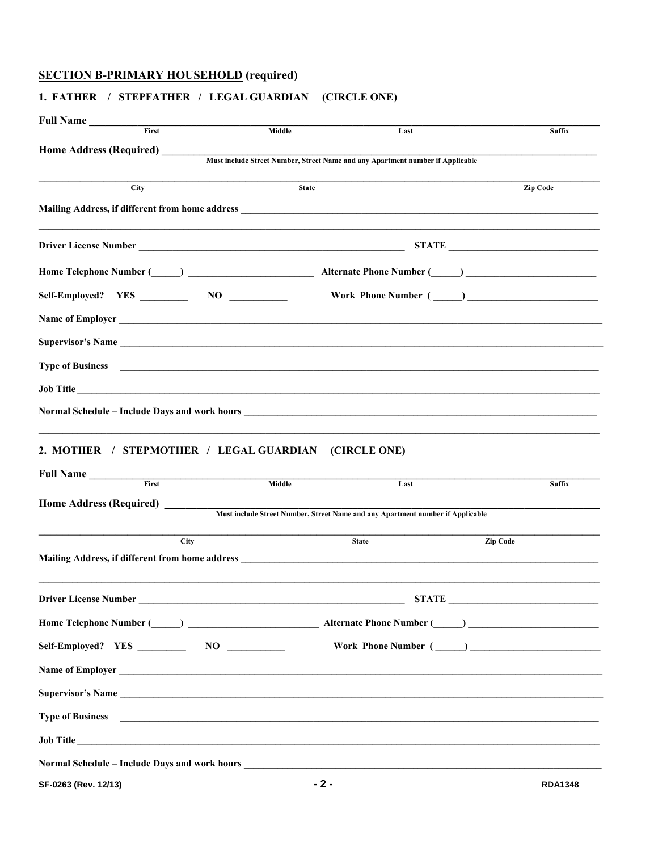# **SECTION B-PRIMARY HOUSEHOLD** (required)

| Full Name                                                                                                                                                                                                                      | Middle                                                                                                               | Last                                                                           | Suffix          |
|--------------------------------------------------------------------------------------------------------------------------------------------------------------------------------------------------------------------------------|----------------------------------------------------------------------------------------------------------------------|--------------------------------------------------------------------------------|-----------------|
|                                                                                                                                                                                                                                |                                                                                                                      |                                                                                |                 |
| Home Address (Required) _______                                                                                                                                                                                                |                                                                                                                      | Must include Street Number, Street Name and any Apartment number if Applicable |                 |
| City                                                                                                                                                                                                                           | <b>State</b>                                                                                                         |                                                                                | <b>Zip Code</b> |
|                                                                                                                                                                                                                                |                                                                                                                      |                                                                                |                 |
|                                                                                                                                                                                                                                |                                                                                                                      |                                                                                | STATE           |
| Home Telephone Number (Comparison and Alternate Phone Number (Comparison and Alternate Phone Number (Comparison and Alternate Phone Number (Comparison and Alternate Phone Number (Comparison and Alternate Phone Number (Comp |                                                                                                                      |                                                                                |                 |
| Self-Employed? YES                                                                                                                                                                                                             |                                                                                                                      |                                                                                |                 |
|                                                                                                                                                                                                                                |                                                                                                                      |                                                                                |                 |
|                                                                                                                                                                                                                                |                                                                                                                      |                                                                                |                 |
| Type of Business <b>CONFIGURER 2018</b> Type of Business <b>CONFIGURER</b>                                                                                                                                                     |                                                                                                                      |                                                                                |                 |
| Job Title                                                                                                                                                                                                                      |                                                                                                                      |                                                                                |                 |
| Normal Schedule – Include Days and work hours ___________________________________                                                                                                                                              |                                                                                                                      |                                                                                |                 |
| Full Name<br>First                                                                                                                                                                                                             | Middle                                                                                                               | Last                                                                           | Suffix          |
| Home Address (Required) _______                                                                                                                                                                                                |                                                                                                                      | Must include Street Number, Street Name and any Apartment number if Applicable |                 |
| <b>City</b>                                                                                                                                                                                                                    |                                                                                                                      | <b>State</b>                                                                   | Zip Code        |
|                                                                                                                                                                                                                                |                                                                                                                      |                                                                                |                 |
|                                                                                                                                                                                                                                |                                                                                                                      |                                                                                |                 |
| Home Telephone Number (Comparison and Alternate Phone Number (Comparison and Alternate Phone Number (Comparison                                                                                                                |                                                                                                                      |                                                                                |                 |
|                                                                                                                                                                                                                                |                                                                                                                      |                                                                                |                 |
|                                                                                                                                                                                                                                |                                                                                                                      |                                                                                |                 |
| Supervisor's Name                                                                                                                                                                                                              |                                                                                                                      |                                                                                |                 |
| <b>Type of Business</b>                                                                                                                                                                                                        | <u> 2000 - Paul Barbara, professor eta profesioa eta profesioa eta profesioa eta profesioa eta profesioa eta pro</u> |                                                                                |                 |
| Job Title                                                                                                                                                                                                                      |                                                                                                                      |                                                                                |                 |
| Normal Schedule – Include Days and work hours                                                                                                                                                                                  |                                                                                                                      |                                                                                |                 |
| SF-0263 (Rev. 12/13)                                                                                                                                                                                                           | $-2-$                                                                                                                |                                                                                | <b>RDA1348</b>  |

# 1. FATHER / STEPFATHER / LEGAL GUARDIAN (CIRCLE ONE)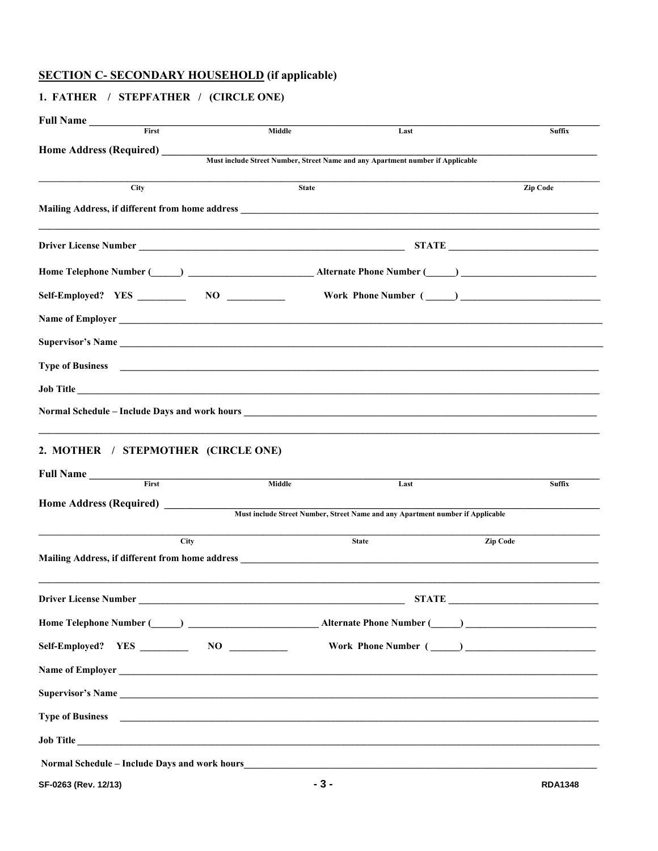# **SECTION C- SECONDARY HOUSEHOLD** (if applicable)

# 1. FATHER / STEPFATHER / (CIRCLE ONE)

| <b>Full Name</b>                                                                                                                                                                                                               |               |                                                                                |                 |
|--------------------------------------------------------------------------------------------------------------------------------------------------------------------------------------------------------------------------------|---------------|--------------------------------------------------------------------------------|-----------------|
| First                                                                                                                                                                                                                          | Middle        | Last                                                                           | Suffix          |
|                                                                                                                                                                                                                                |               | Must include Street Number, Street Name and any Apartment number if Applicable |                 |
|                                                                                                                                                                                                                                |               |                                                                                |                 |
| <b>City</b>                                                                                                                                                                                                                    | <b>State</b>  |                                                                                | <b>Zip Code</b> |
| Mailing Address, if different from home address _________________________________                                                                                                                                              |               |                                                                                |                 |
|                                                                                                                                                                                                                                |               |                                                                                |                 |
| Home Telephone Number (Called and Telephone Number (Called and Telephone Number (Called and Telephone Number (Called and Telephone Number (Called and Telephone Number (Called and Telephone Number (Called and Telephone Numb |               |                                                                                |                 |
| Self-Employed? YES                                                                                                                                                                                                             | NO            |                                                                                |                 |
|                                                                                                                                                                                                                                |               |                                                                                |                 |
| Supervisor's Name                                                                                                                                                                                                              |               |                                                                                |                 |
| Type of Business Type of Business                                                                                                                                                                                              |               |                                                                                |                 |
| Job Title                                                                                                                                                                                                                      |               |                                                                                |                 |
| Normal Schedule – Include Days and work hours ___________________________________                                                                                                                                              |               |                                                                                |                 |
| Full Name<br>Home Address (Required) ____________                                                                                                                                                                              | <b>Middle</b> | Last                                                                           | Suffix          |
|                                                                                                                                                                                                                                |               | Must include Street Number, Street Name and any Apartment number if Applicable |                 |
| <b>City</b>                                                                                                                                                                                                                    |               | <b>State</b>                                                                   | <b>Zip Code</b> |
| Mailing Address, if different from home address                                                                                                                                                                                |               |                                                                                |                 |
| <b>Driver License Number</b>                                                                                                                                                                                                   |               |                                                                                | <b>STATE</b>    |
|                                                                                                                                                                                                                                |               |                                                                                |                 |
|                                                                                                                                                                                                                                |               |                                                                                |                 |
|                                                                                                                                                                                                                                |               |                                                                                |                 |
| Supervisor's Name                                                                                                                                                                                                              |               |                                                                                |                 |
| <b>Type of Business</b>                                                                                                                                                                                                        |               |                                                                                |                 |
| Job Title                                                                                                                                                                                                                      |               |                                                                                |                 |
| Normal Schedule – Include Days and work hours <b>Exercise 2018</b> 2019 12:30 AM                                                                                                                                               |               |                                                                                |                 |
| SF-0263 (Rev. 12/13)                                                                                                                                                                                                           | $-3-$         |                                                                                | <b>RDA1348</b>  |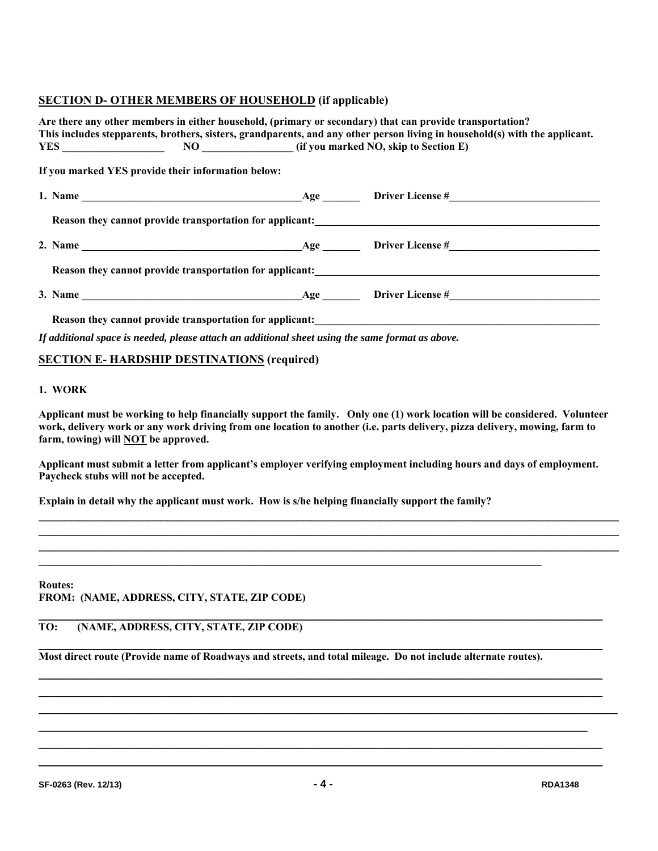# **SECTION D- OTHER MEMBERS OF HOUSEHOLD (if applicable)**

**Are there any other members in either household, (primary or secondary) that can provide transportation? This includes stepparents, brothers, sisters, grandparents, and any other person living in household(s) with the applicant. YES \_\_\_\_\_\_\_\_\_\_\_\_\_\_\_\_\_\_\_ NO \_\_\_\_\_\_\_\_\_\_\_\_\_\_\_\_\_ (if you marked NO, skip to Section E) If you marked YES provide their information below:** 

| Reason they cannot provide transportation for applicant:           |     |                  |
|--------------------------------------------------------------------|-----|------------------|
| 2. Name $\qquad \qquad \qquad \text{Age} \qquad \qquad \text{Age}$ |     |                  |
| Reason they cannot provide transportation for applicant:           |     |                  |
|                                                                    | Age | Driver License # |
| Reason they cannot provide transportation for applicant:           |     |                  |

*If additional space is needed, please attach an additional sheet using the same format as above.* 

# **SECTION E- HARDSHIP DESTINATIONS (required)**

# **1. WORK**

**Applicant must be working to help financially support the family. Only one (1) work location will be considered. Volunteer work, delivery work or any work driving from one location to another (i.e. parts delivery, pizza delivery, mowing, farm to farm, towing) will NOT be approved.** 

**Applicant must submit a letter from applicant's employer verifying employment including hours and days of employment. Paycheck stubs will not be accepted.** 

 $\mathcal{L}_\mathcal{L} = \mathcal{L}_\mathcal{L} = \mathcal{L}_\mathcal{L} = \mathcal{L}_\mathcal{L} = \mathcal{L}_\mathcal{L} = \mathcal{L}_\mathcal{L} = \mathcal{L}_\mathcal{L} = \mathcal{L}_\mathcal{L} = \mathcal{L}_\mathcal{L} = \mathcal{L}_\mathcal{L} = \mathcal{L}_\mathcal{L} = \mathcal{L}_\mathcal{L} = \mathcal{L}_\mathcal{L} = \mathcal{L}_\mathcal{L} = \mathcal{L}_\mathcal{L} = \mathcal{L}_\mathcal{L} = \mathcal{L}_\mathcal{L}$  $\mathcal{L}_\mathcal{L} = \mathcal{L}_\mathcal{L} = \mathcal{L}_\mathcal{L} = \mathcal{L}_\mathcal{L} = \mathcal{L}_\mathcal{L} = \mathcal{L}_\mathcal{L} = \mathcal{L}_\mathcal{L} = \mathcal{L}_\mathcal{L} = \mathcal{L}_\mathcal{L} = \mathcal{L}_\mathcal{L} = \mathcal{L}_\mathcal{L} = \mathcal{L}_\mathcal{L} = \mathcal{L}_\mathcal{L} = \mathcal{L}_\mathcal{L} = \mathcal{L}_\mathcal{L} = \mathcal{L}_\mathcal{L} = \mathcal{L}_\mathcal{L}$  $\mathcal{L}_\mathcal{L} = \{ \mathcal{L}_\mathcal{L} = \{ \mathcal{L}_\mathcal{L} = \{ \mathcal{L}_\mathcal{L} = \{ \mathcal{L}_\mathcal{L} = \{ \mathcal{L}_\mathcal{L} = \{ \mathcal{L}_\mathcal{L} = \{ \mathcal{L}_\mathcal{L} = \{ \mathcal{L}_\mathcal{L} = \{ \mathcal{L}_\mathcal{L} = \{ \mathcal{L}_\mathcal{L} = \{ \mathcal{L}_\mathcal{L} = \{ \mathcal{L}_\mathcal{L} = \{ \mathcal{L}_\mathcal{L} = \{ \mathcal{L}_\mathcal{$ 

**\_\_\_\_\_\_\_\_\_\_\_\_\_\_\_\_\_\_\_\_\_\_\_\_\_\_\_\_\_\_\_\_\_\_\_\_\_\_\_\_\_\_\_\_\_\_\_\_\_\_\_\_\_\_\_\_\_\_\_\_\_\_\_\_\_\_\_\_\_\_\_\_\_\_\_**

**\_\_\_\_\_\_\_\_\_\_\_\_\_\_\_\_\_\_\_\_\_\_\_\_\_\_\_\_\_\_\_\_\_\_\_\_\_\_\_\_\_\_\_\_\_\_\_\_\_\_\_\_\_\_\_\_\_\_\_\_\_\_\_\_\_\_\_\_\_\_\_\_\_\_\_** 

**\_\_\_\_\_\_\_\_\_\_\_\_\_\_\_\_\_\_\_\_\_\_\_\_\_\_\_\_\_\_\_\_\_\_\_\_\_\_\_\_\_\_\_\_\_\_\_\_\_\_\_\_\_\_\_\_\_\_\_\_\_\_\_\_\_\_\_\_\_\_\_\_\_** 

**Explain in detail why the applicant must work. How is s/he helping financially support the family?** 

#### **Routes: FROM: (NAME, ADDRESS, CITY, STATE, ZIP CODE)**

# **TO: (NAME, ADDRESS, CITY, STATE, ZIP CODE)**

Most direct route (Provide name of Roadways and streets, and total mileage. Do not include alternate routes).

**\_\_\_\_\_\_\_\_\_\_\_\_\_\_\_\_\_\_\_\_\_\_\_\_\_\_\_\_\_\_\_\_\_\_\_\_\_\_\_\_\_\_\_\_\_\_\_\_\_\_\_\_\_\_\_\_\_\_\_\_\_\_\_\_\_\_\_\_\_\_\_\_\_\_\_\_\_\_** 

**\_\_\_\_\_\_\_\_\_\_\_\_\_\_\_\_\_\_\_\_\_\_\_\_\_\_\_\_\_\_\_\_\_\_\_\_\_\_\_\_\_\_\_\_\_\_\_\_\_\_\_\_\_\_\_\_\_\_\_\_\_\_\_\_\_\_\_\_\_\_\_\_\_\_\_**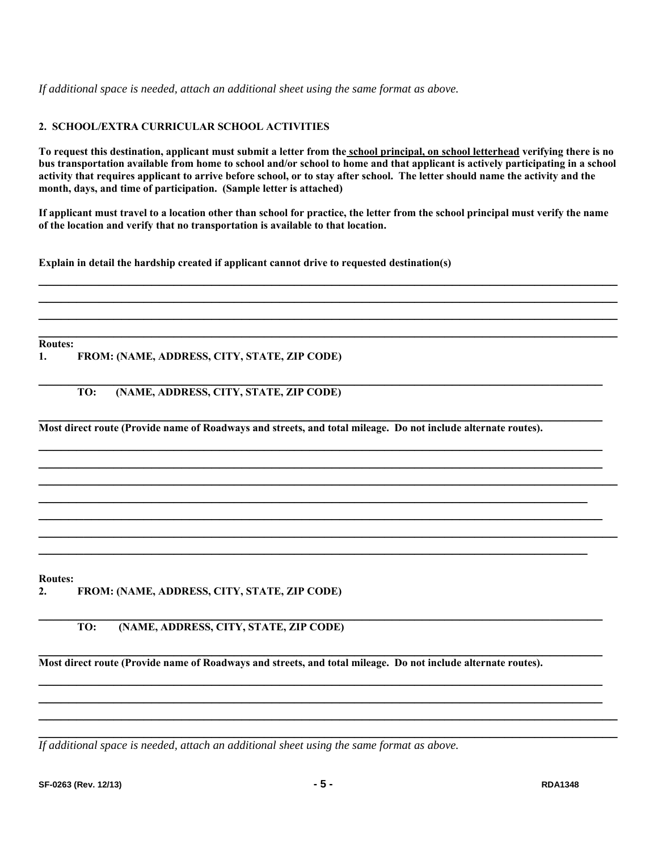*If additional space is needed, attach an additional sheet using the same format as above.* 

### **2. SCHOOL/EXTRA CURRICULAR SCHOOL ACTIVITIES**

**To request this destination, applicant must submit a letter from the school principal, on school letterhead verifying there is no bus transportation available from home to school and/or school to home and that applicant is actively participating in a school activity that requires applicant to arrive before school, or to stay after school. The letter should name the activity and the month, days, and time of participation. (Sample letter is attached)** 

**If applicant must travel to a location other than school for practice, the letter from the school principal must verify the name of the location and verify that no transportation is available to that location.** 

**\_\_\_\_\_\_\_\_\_\_\_\_\_\_\_\_\_\_\_\_\_\_\_\_\_\_\_\_\_\_\_\_\_\_\_\_\_\_\_\_\_\_\_\_\_\_\_\_\_\_\_\_\_\_\_\_\_\_\_\_\_\_\_\_\_\_\_\_\_\_\_\_\_\_\_\_\_**

**\_\_\_\_\_\_\_\_\_\_\_\_\_\_\_\_\_\_\_\_\_\_\_\_\_\_\_\_\_\_\_\_\_\_\_\_\_\_\_\_\_\_\_\_\_\_\_\_\_\_\_\_\_\_\_\_\_\_\_\_\_\_\_\_\_\_\_\_\_\_\_\_\_\_\_\_\_**

**\_\_\_\_\_\_\_\_\_\_\_\_\_\_\_\_\_\_\_\_\_\_\_\_\_\_\_\_\_\_\_\_\_\_\_\_\_\_\_\_\_\_\_\_\_\_\_\_\_\_\_\_\_\_\_\_\_\_\_\_\_\_\_\_\_\_\_\_\_\_\_\_\_\_\_** 

**\_\_\_\_\_\_\_\_\_\_\_\_\_\_\_\_\_\_\_\_\_\_\_\_\_\_\_\_\_\_\_\_\_\_\_\_\_\_\_\_\_\_\_\_\_\_\_\_\_\_\_\_\_\_\_\_\_\_\_\_\_\_\_\_\_\_\_\_\_\_\_\_\_\_\_\_\_**

**\_\_\_\_\_\_\_\_\_\_\_\_\_\_\_\_\_\_\_\_\_\_\_\_\_\_\_\_\_\_\_\_\_\_\_\_\_\_\_\_\_\_\_\_\_\_\_\_\_\_\_\_\_\_\_\_\_\_\_\_\_\_\_\_\_\_\_\_\_\_\_\_\_ \_\_\_\_\_\_\_\_\_\_\_\_\_\_\_\_\_\_\_\_\_\_\_\_\_\_\_\_\_\_\_\_\_\_\_\_\_\_\_\_\_\_\_\_\_\_\_\_\_\_\_\_\_\_\_\_\_\_\_\_\_\_\_\_\_\_\_\_\_\_\_\_\_\_\_ \_\_\_\_\_\_\_\_\_\_\_\_\_\_\_\_\_\_\_\_\_\_\_\_\_\_\_\_\_\_\_\_\_\_\_\_\_\_\_\_\_\_\_\_\_\_\_\_\_\_\_\_\_\_\_\_\_\_\_\_\_\_\_\_\_\_\_\_\_\_\_\_\_\_\_\_\_**

**\_\_\_\_\_\_\_\_\_\_\_\_\_\_\_\_\_\_\_\_\_\_\_\_\_\_\_\_\_\_\_\_\_\_\_\_\_\_\_\_\_\_\_\_\_\_\_\_\_\_\_\_\_\_\_\_\_\_\_\_\_\_\_\_\_\_\_\_\_\_\_\_\_** 

**Explain in detail the hardship created if applicant cannot drive to requested destination(s)** 

**Routes:** 

**1. FROM: (NAME, ADDRESS, CITY, STATE, ZIP CODE)** 

### **\_\_\_\_\_\_\_\_\_\_\_\_\_\_\_\_\_\_\_\_\_\_\_\_\_\_\_\_\_\_\_\_\_\_\_\_\_\_\_\_\_\_\_\_\_\_\_\_\_\_\_\_\_\_\_\_\_\_\_\_\_\_\_\_\_\_\_\_\_\_\_\_\_\_\_ TO: (NAME, ADDRESS, CITY, STATE, ZIP CODE)**

Most direct route (Provide name of Roadways and streets, and total mileage. Do not include alternate routes).

**Routes:** 

**2. FROM: (NAME, ADDRESS, CITY, STATE, ZIP CODE)** 

# **\_\_\_\_\_\_\_\_\_\_\_\_\_\_\_\_\_\_\_\_\_\_\_\_\_\_\_\_\_\_\_\_\_\_\_\_\_\_\_\_\_\_\_\_\_\_\_\_\_\_\_\_\_\_\_\_\_\_\_\_\_\_\_\_\_\_\_\_\_\_\_\_\_\_\_ TO: (NAME, ADDRESS, CITY, STATE, ZIP CODE)**

Most direct route (Provide name of Roadways and streets, and total mileage. Do not include alternate routes).

*If additional space is needed, attach an additional sheet using the same format as above.* 

**\_\_\_\_\_\_\_\_\_\_\_\_\_\_\_\_\_\_\_\_\_\_\_\_\_\_\_\_\_\_\_\_\_\_\_\_\_\_\_\_\_\_\_\_\_\_\_\_\_\_\_\_\_\_\_\_\_\_\_\_\_\_\_\_\_\_\_\_\_\_\_\_\_\_\_** 

**\_\_\_\_\_\_\_\_\_\_\_\_\_\_\_\_\_\_\_\_\_\_\_\_\_\_\_\_\_\_\_\_\_\_\_\_\_\_\_\_\_\_\_\_\_\_\_\_\_\_\_\_\_\_\_\_\_\_\_\_\_\_\_\_\_\_\_\_\_\_\_\_\_\_\_\_\_**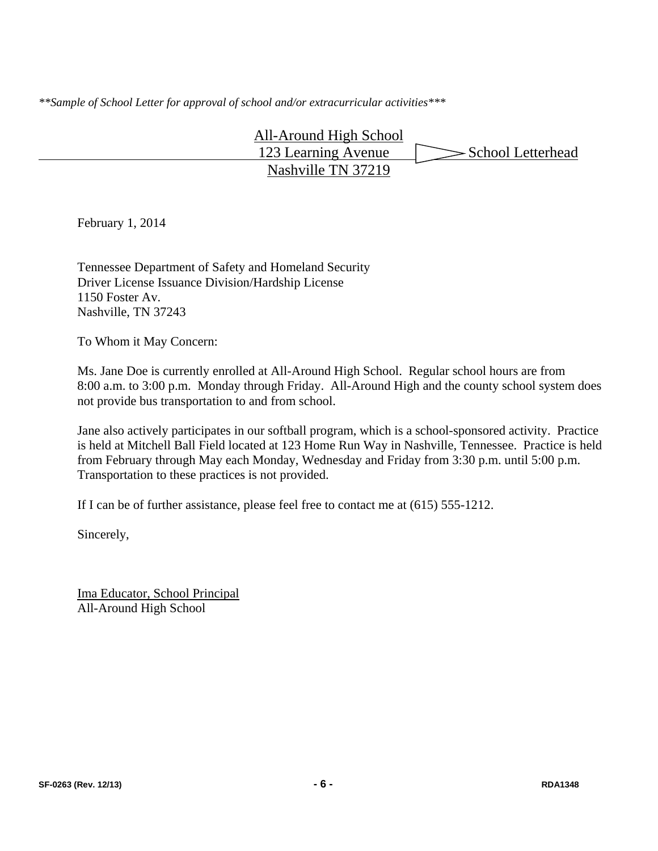*\*\*Sample of School Letter for approval of school and/or extracurricular activities\*\*\** 

| All-Around High School |                     |
|------------------------|---------------------|
| 123 Learning Avenue    | - School Letterhead |
| Nashville TN 37219     |                     |

February 1, 2014

 Tennessee Department of Safety and Homeland Security Driver License Issuance Division/Hardship License 1150 Foster Av. Nashville, TN 37243

To Whom it May Concern:

 Ms. Jane Doe is currently enrolled at All-Around High School. Regular school hours are from 8:00 a.m. to 3:00 p.m. Monday through Friday. All-Around High and the county school system does not provide bus transportation to and from school.

 Jane also actively participates in our softball program, which is a school-sponsored activity. Practice is held at Mitchell Ball Field located at 123 Home Run Way in Nashville, Tennessee. Practice is held from February through May each Monday, Wednesday and Friday from 3:30 p.m. until 5:00 p.m. Transportation to these practices is not provided.

If I can be of further assistance, please feel free to contact me at (615) 555-1212.

Sincerely,

 Ima Educator, School Principal All-Around High School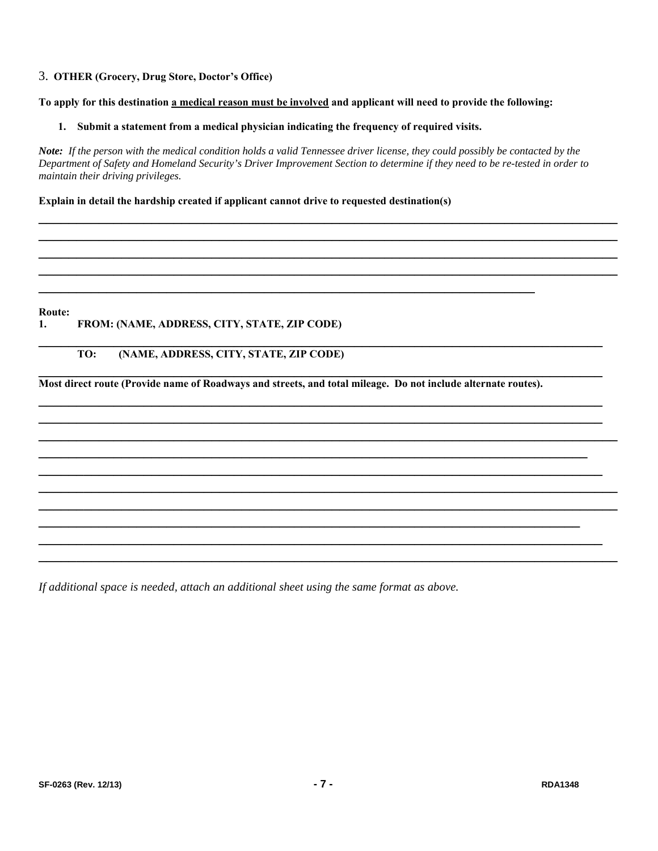#### 3. **OTHER (Grocery, Drug Store, Doctor's Office)**

**To apply for this destination a medical reason must be involved and applicant will need to provide the following:** 

#### **1. Submit a statement from a medical physician indicating the frequency of required visits.**

*Note:**If the person with the medical condition holds a valid Tennessee driver license, they could possibly be contacted by the Department of Safety and Homeland Security's Driver Improvement Section to determine if they need to be re-tested in order to maintain their driving privileges.* 

**\_\_\_\_\_\_\_\_\_\_\_\_\_\_\_\_\_\_\_\_\_\_\_\_\_\_\_\_\_\_\_\_\_\_\_\_\_\_\_\_\_\_\_\_\_\_\_\_\_\_\_\_\_\_\_\_\_\_\_\_\_\_\_\_\_\_\_\_\_\_\_\_\_\_\_\_\_ \_\_\_\_\_\_\_\_\_\_\_\_\_\_\_\_\_\_\_\_\_\_\_\_\_\_\_\_\_\_\_\_\_\_\_\_\_\_\_\_\_\_\_\_\_\_\_\_\_\_\_\_\_\_\_\_\_\_\_\_\_\_\_\_\_\_\_\_\_\_\_\_\_\_\_\_\_ \_\_\_\_\_\_\_\_\_\_\_\_\_\_\_\_\_\_\_\_\_\_\_\_\_\_\_\_\_\_\_\_\_\_\_\_\_\_\_\_\_\_\_\_\_\_\_\_\_\_\_\_\_\_\_\_\_\_\_\_\_\_\_\_\_\_\_\_\_\_\_\_\_\_\_\_\_ \_\_\_\_\_\_\_\_\_\_\_\_\_\_\_\_\_\_\_\_\_\_\_\_\_\_\_\_\_\_\_\_\_\_\_\_\_\_\_\_\_\_\_\_\_\_\_\_\_\_\_\_\_\_\_\_\_\_\_\_\_\_\_\_\_\_\_\_\_\_\_\_\_\_\_\_\_**

**Explain in detail the hardship created if applicant cannot drive to requested destination(s)** 

**Route:** 

# **1. FROM: (NAME, ADDRESS, CITY, STATE, ZIP CODE)**

# **\_\_\_\_\_\_\_\_\_\_\_\_\_\_\_\_\_\_\_\_\_\_\_\_\_\_\_\_\_\_\_\_\_\_\_\_\_\_\_\_\_\_\_\_\_\_\_\_\_\_\_\_\_\_\_\_\_\_\_\_\_\_\_\_\_\_\_\_\_\_\_\_\_\_\_ TO: (NAME, ADDRESS, CITY, STATE, ZIP CODE)**

Most direct route (Provide name of Roadways and streets, and total mileage. Do not include alternate routes).

**\_\_\_\_\_\_\_\_\_\_\_\_\_\_\_\_\_\_\_\_\_\_\_\_\_\_\_\_\_\_\_\_\_\_\_\_\_\_\_\_\_\_\_\_\_\_\_\_\_\_\_\_\_\_\_\_\_\_\_\_\_\_\_\_\_\_\_\_\_\_\_\_\_\_\_ \_\_\_\_\_\_\_\_\_\_\_\_\_\_\_\_\_\_\_\_\_\_\_\_\_\_\_\_\_\_\_\_\_\_\_\_\_\_\_\_\_\_\_\_\_\_\_\_\_\_\_\_\_\_\_\_\_\_\_\_\_\_\_\_\_\_\_\_\_\_\_\_\_\_\_** 

**\_\_\_\_\_\_\_\_\_\_\_\_\_\_\_\_\_\_\_\_\_\_\_\_\_\_\_\_\_\_\_\_\_\_\_\_\_\_\_\_\_\_\_\_\_\_\_\_\_\_\_\_\_\_\_\_\_\_\_\_\_\_\_\_\_\_\_\_\_\_\_\_\_** 

**\_\_\_\_\_\_\_\_\_\_\_\_\_\_\_\_\_\_\_\_\_\_\_\_\_\_\_\_\_\_\_\_\_\_\_\_\_\_\_\_\_\_\_\_\_\_\_\_\_\_\_\_\_\_\_\_\_\_\_\_\_\_\_\_\_\_\_\_\_\_\_\_** 

**\_\_\_\_\_\_\_\_\_\_\_\_\_\_\_\_\_\_\_\_\_\_\_\_\_\_\_\_\_\_\_\_\_\_\_\_\_\_\_\_\_\_\_\_\_\_\_\_\_\_\_\_\_\_\_\_\_\_\_\_\_\_\_\_\_\_\_\_\_\_\_\_\_\_\_\_\_** 

**\_\_\_\_\_\_\_\_\_\_\_\_\_\_\_\_\_\_\_\_\_\_\_\_\_\_\_\_\_\_\_\_\_\_\_\_\_\_\_\_\_\_\_\_\_\_\_\_\_\_\_\_\_\_\_\_\_\_\_\_\_\_\_\_\_\_\_\_\_\_\_\_\_\_\_\_\_** 

*If additional space is needed, attach an additional sheet using the same format as above.*